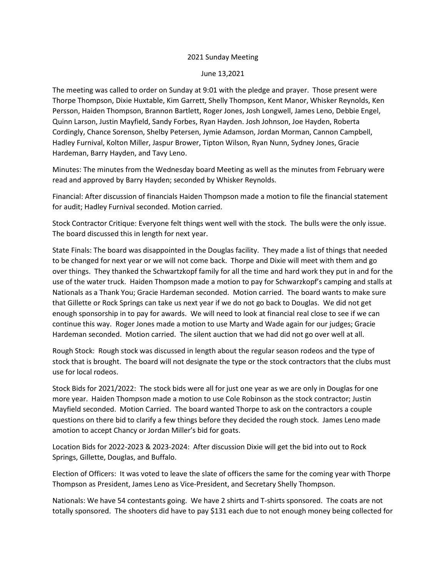## 2021 Sunday Meeting

June 13,2021

The meeting was called to order on Sunday at 9:01 with the pledge and prayer. Those present were Thorpe Thompson, Dixie Huxtable, Kim Garrett, Shelly Thompson, Kent Manor, Whisker Reynolds, Ken Persson, Haiden Thompson, Brannon Bartlett, Roger Jones, Josh Longwell, James Leno, Debbie Engel, Quinn Larson, Justin Mayfield, Sandy Forbes, Ryan Hayden. Josh Johnson, Joe Hayden, Roberta Cordingly, Chance Sorenson, Shelby Petersen, Jymie Adamson, Jordan Morman, Cannon Campbell, Hadley Furnival, Kolton Miller, Jaspur Brower, Tipton Wilson, Ryan Nunn, Sydney Jones, Gracie Hardeman, Barry Hayden, and Tavy Leno.

Minutes: The minutes from the Wednesday board Meeting as well as the minutes from February were read and approved by Barry Hayden; seconded by Whisker Reynolds.

Financial: After discussion of financials Haiden Thompson made a motion to file the financial statement for audit; Hadley Furnival seconded. Motion carried.

Stock Contractor Critique: Everyone felt things went well with the stock. The bulls were the only issue. The board discussed this in length for next year.

State Finals: The board was disappointed in the Douglas facility. They made a list of things that needed to be changed for next year or we will not come back. Thorpe and Dixie will meet with them and go over things. They thanked the Schwartzkopf family for all the time and hard work they put in and for the use of the water truck. Haiden Thompson made a motion to pay for Schwarzkopf's camping and stalls at Nationals as a Thank You; Gracie Hardeman seconded. Motion carried. The board wants to make sure that Gillette or Rock Springs can take us next year if we do not go back to Douglas. We did not get enough sponsorship in to pay for awards. We will need to look at financial real close to see if we can continue this way. Roger Jones made a motion to use Marty and Wade again for our judges; Gracie Hardeman seconded. Motion carried. The silent auction that we had did not go over well at all.

Rough Stock: Rough stock was discussed in length about the regular season rodeos and the type of stock that is brought. The board will not designate the type or the stock contractors that the clubs must use for local rodeos.

Stock Bids for 2021/2022: The stock bids were all for just one year as we are only in Douglas for one more year. Haiden Thompson made a motion to use Cole Robinson as the stock contractor; Justin Mayfield seconded. Motion Carried. The board wanted Thorpe to ask on the contractors a couple questions on there bid to clarify a few things before they decided the rough stock. James Leno made amotion to accept Chancy or Jordan Miller's bid for goats.

Location Bids for 2022-2023 & 2023-2024: After discussion Dixie will get the bid into out to Rock Springs, Gillette, Douglas, and Buffalo.

Election of Officers: It was voted to leave the slate of officers the same for the coming year with Thorpe Thompson as President, James Leno as Vice-President, and Secretary Shelly Thompson.

Nationals: We have 54 contestants going. We have 2 shirts and T-shirts sponsored. The coats are not totally sponsored. The shooters did have to pay \$131 each due to not enough money being collected for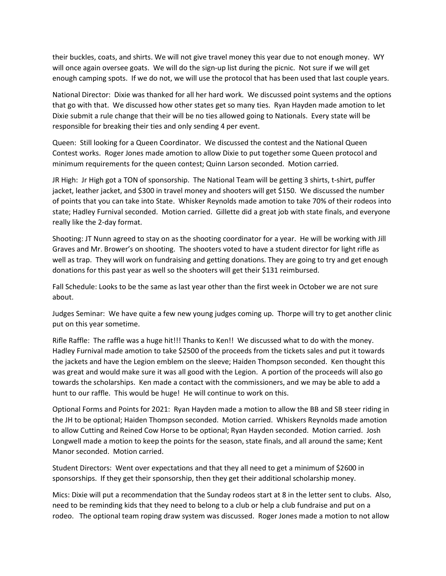their buckles, coats, and shirts. We will not give travel money this year due to not enough money. WY will once again oversee goats. We will do the sign-up list during the picnic. Not sure if we will get enough camping spots. If we do not, we will use the protocol that has been used that last couple years.

National Director: Dixie was thanked for all her hard work. We discussed point systems and the options that go with that. We discussed how other states get so many ties. Ryan Hayden made amotion to let Dixie submit a rule change that their will be no ties allowed going to Nationals. Every state will be responsible for breaking their ties and only sending 4 per event.

Queen: Still looking for a Queen Coordinator. We discussed the contest and the National Queen Contest works. Roger Jones made amotion to allow Dixie to put together some Queen protocol and minimum requirements for the queen contest; Quinn Larson seconded. Motion carried.

JR High: Jr High got a TON of sponsorship. The National Team will be getting 3 shirts, t-shirt, puffer jacket, leather jacket, and \$300 in travel money and shooters will get \$150. We discussed the number of points that you can take into State. Whisker Reynolds made amotion to take 70% of their rodeos into state; Hadley Furnival seconded. Motion carried. Gillette did a great job with state finals, and everyone really like the 2-day format.

Shooting: JT Nunn agreed to stay on as the shooting coordinator for a year. He will be working with Jill Graves and Mr. Brower's on shooting. The shooters voted to have a student director for light rifle as well as trap. They will work on fundraising and getting donations. They are going to try and get enough donations for this past year as well so the shooters will get their \$131 reimbursed.

Fall Schedule: Looks to be the same as last year other than the first week in October we are not sure about.

Judges Seminar: We have quite a few new young judges coming up. Thorpe will try to get another clinic put on this year sometime.

Rifle Raffle: The raffle was a huge hit!!! Thanks to Ken!! We discussed what to do with the money. Hadley Furnival made amotion to take \$2500 of the proceeds from the tickets sales and put it towards the jackets and have the Legion emblem on the sleeve; Haiden Thompson seconded. Ken thought this was great and would make sure it was all good with the Legion. A portion of the proceeds will also go towards the scholarships. Ken made a contact with the commissioners, and we may be able to add a hunt to our raffle. This would be huge! He will continue to work on this.

Optional Forms and Points for 2021: Ryan Hayden made a motion to allow the BB and SB steer riding in the JH to be optional; Haiden Thompson seconded. Motion carried. Whiskers Reynolds made amotion to allow Cutting and Reined Cow Horse to be optional; Ryan Hayden seconded. Motion carried. Josh Longwell made a motion to keep the points for the season, state finals, and all around the same; Kent Manor seconded. Motion carried.

Student Directors: Went over expectations and that they all need to get a minimum of \$2600 in sponsorships. If they get their sponsorship, then they get their additional scholarship money.

Mics: Dixie will put a recommendation that the Sunday rodeos start at 8 in the letter sent to clubs. Also, need to be reminding kids that they need to belong to a club or help a club fundraise and put on a rodeo. The optional team roping draw system was discussed. Roger Jones made a motion to not allow